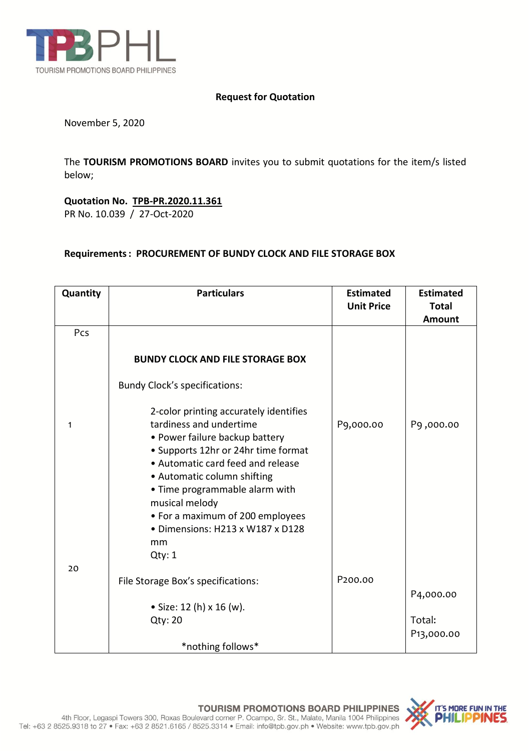

## **Request for Quotation**

November 5, 2020

The **TOURISM PROMOTIONS BOARD** invites you to submit quotations for the item/s listed below;

**Quotation No. TPB-PR.2020.11.361** PR No. 10.039 / 27-Oct-2020

## **Requirements: PROCUREMENT OF BUNDY CLOCK AND FILE STORAGE BOX**

| Quantity | <b>Particulars</b>                                                                                                                                                                                                                                                                                                                                         | <b>Estimated</b><br><b>Unit Price</b> | <b>Estimated</b><br><b>Total</b> |
|----------|------------------------------------------------------------------------------------------------------------------------------------------------------------------------------------------------------------------------------------------------------------------------------------------------------------------------------------------------------------|---------------------------------------|----------------------------------|
|          |                                                                                                                                                                                                                                                                                                                                                            |                                       | Amount                           |
| Pcs      |                                                                                                                                                                                                                                                                                                                                                            |                                       |                                  |
|          | <b>BUNDY CLOCK AND FILE STORAGE BOX</b>                                                                                                                                                                                                                                                                                                                    |                                       |                                  |
|          | <b>Bundy Clock's specifications:</b>                                                                                                                                                                                                                                                                                                                       |                                       |                                  |
| 1<br>20  | 2-color printing accurately identifies<br>tardiness and undertime<br>• Power failure backup battery<br>• Supports 12hr or 24hr time format<br>• Automatic card feed and release<br>• Automatic column shifting<br>• Time programmable alarm with<br>musical melody<br>• For a maximum of 200 employees<br>· Dimensions: H213 x W187 x D128<br>mm<br>Qty: 1 | P9,000.00                             | P9,000.00                        |
|          | File Storage Box's specifications:                                                                                                                                                                                                                                                                                                                         | P <sub>200.00</sub>                   |                                  |
|          |                                                                                                                                                                                                                                                                                                                                                            |                                       | P4,000.00                        |
|          | • Size: 12 (h) x 16 (w).                                                                                                                                                                                                                                                                                                                                   |                                       |                                  |
|          | Qty: 20                                                                                                                                                                                                                                                                                                                                                    |                                       | Total:                           |
|          |                                                                                                                                                                                                                                                                                                                                                            |                                       | P <sub>13</sub> ,000.00          |
|          | *nothing follows*                                                                                                                                                                                                                                                                                                                                          |                                       |                                  |